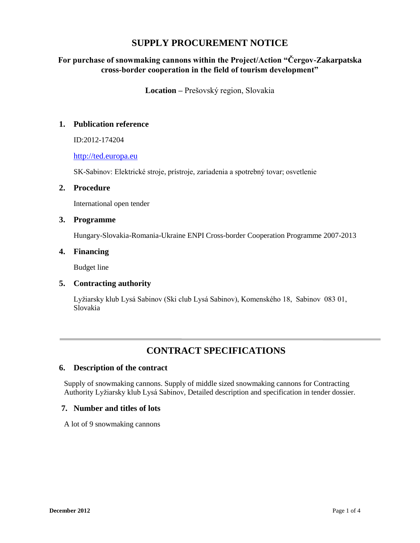## **SUPPLY PROCUREMENT NOTICE**

## **For purchase of snowmaking cannons within the Project/Action "Čergov-Zakarpatska cross-border cooperation in the field of tourism development"**

**Location –** Prešovský region, Slovakia

## **1. Publication reference**

ID:2012-174204

### [http://ted.europa.eu](http://ted.europa.eu/)

SK-Sabinov: Elektrické stroje, prístroje, zariadenia a spotrebný tovar; osvetlenie

#### **2. Procedure**

International open tender

#### **3. Programme**

Hungary-Slovakia-Romania-Ukraine ENPI Cross-border Cooperation Programme 2007-2013

#### **4. Financing**

Budget line

### **5. Contracting authority**

Lyžiarsky klub Lysá Sabinov (Ski club Lysá Sabinov), Komenského 18, Sabinov 083 01, Slovakia

## **CONTRACT SPECIFICATIONS**

### **6. Description of the contract**

Supply of snowmaking cannons. Supply of middle sized snowmaking cannons for Contracting Authority Lyžiarsky klub Lysá Sabinov, Detailed description and specification in tender dossier.

#### **7. Number and titles of lots**

A lot of 9 snowmaking cannons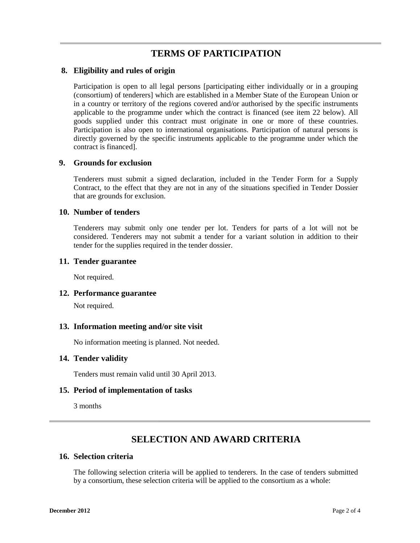## **TERMS OF PARTICIPATION**

#### **8. Eligibility and rules of origin**

Participation is open to all legal persons [participating either individually or in a grouping (consortium) of tenderers] which are established in a Member State of the European Union or in a country or territory of the regions covered and/or authorised by the specific instruments applicable to the programme under which the contract is financed (see item 22 below). All goods supplied under this contract must originate in one or more of these countries. Participation is also open to international organisations. Participation of natural persons is directly governed by the specific instruments applicable to the programme under which the contract is financed].

#### **9. Grounds for exclusion**

Tenderers must submit a signed declaration, included in the Tender Form for a Supply Contract, to the effect that they are not in any of the situations specified in Tender Dossier that are grounds for exclusion.

#### **10. Number of tenders**

Tenderers may submit only one tender per lot. Tenders for parts of a lot will not be considered. Tenderers may not submit a tender for a variant solution in addition to their tender for the supplies required in the tender dossier.

#### **11. Tender guarantee**

Not required.

#### **12. Performance guarantee**

Not required.

#### **13. Information meeting and/or site visit**

No information meeting is planned. Not needed.

#### **14. Tender validity**

Tenders must remain valid until 30 April 2013.

### **15. Period of implementation of tasks**

3 months

# **SELECTION AND AWARD CRITERIA**

#### **16. Selection criteria**

The following selection criteria will be applied to tenderers. In the case of tenders submitted by a consortium, these selection criteria will be applied to the consortium as a whole: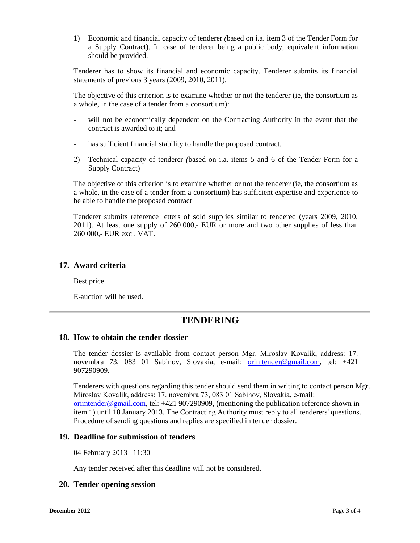1) Economic and financial capacity of tenderer *(*based on i.a. item 3 of the Tender Form for a Supply Contract). In case of tenderer being a public body, equivalent information should be provided.

Tenderer has to show its financial and economic capacity. Tenderer submits its financial statements of previous 3 years (2009, 2010, 2011).

The objective of this criterion is to examine whether or not the tenderer (ie, the consortium as a whole, in the case of a tender from a consortium):

- will not be economically dependent on the Contracting Authority in the event that the contract is awarded to it; and
- has sufficient financial stability to handle the proposed contract.
- 2) Technical capacity of tenderer *(*based on i.a. items 5 and 6 of the Tender Form for a Supply Contract)

The objective of this criterion is to examine whether or not the tenderer (ie, the consortium as a whole, in the case of a tender from a consortium) has sufficient expertise and experience to be able to handle the proposed contract

Tenderer submits reference letters of sold supplies similar to tendered (years 2009, 2010, 2011). At least one supply of 260 000,- EUR or more and two other supplies of less than 260 000,- EUR excl. VAT.

#### **17. Award criteria**

Best price.

E-auction will be used.

## **TENDERING**

#### **18. How to obtain the tender dossier**

The tender dossier is available from contact person Mgr. Miroslav Kovalík, address: 17. novembra 73, 083 01 Sabinov, Slovakia, e-mail: [orimtender@gmail.com,](mailto:orimtender@gmail.com) tel: +421 907290909.

Tenderers with questions regarding this tender should send them in writing to contact person Mgr. Miroslav Kovalík, address: 17. novembra 73, 083 01 Sabinov, Slovakia, e-mail: [orimtender@gmail.com,](mailto:orimtender@gmail.com) tel: +421 907290909, (mentioning the publication reference shown in item 1) until 18 January 2013. The Contracting Authority must reply to all tenderers' questions. Procedure of sending questions and replies are specified in tender dossier.

#### **19. Deadline for submission of tenders**

04 February 2013 11:30

Any tender received after this deadline will not be considered.

#### **20. Tender opening session**